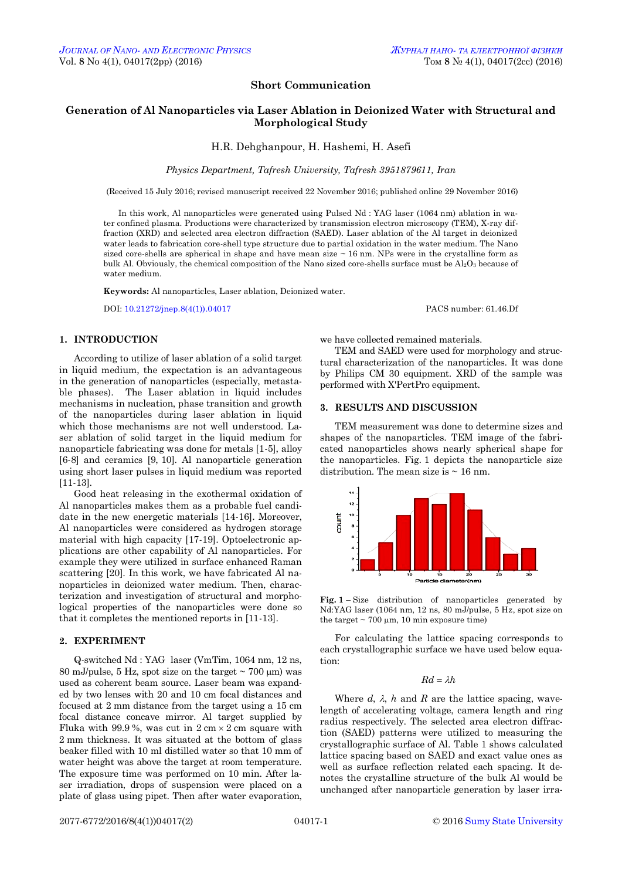## **Short Communication**

## **Generation of Al Nanoparticles via Laser Ablation in Deionized Water with Structural and Morphological Study**

H.R. Dehghanpour, H. Hashemi, H. Asefi

*Physics Department, Tafresh University, Tafresh 3951879611, Iran*

(Received 15 July 2016; revised manuscript received 22 November 2016; published online 29 November 2016)

In this work, Al nanoparticles were generated using Pulsed Nd : YAG laser (1064 nm) ablation in water confined plasma. Productions were characterized by transmission electron microscopy (TEM), X-ray diffraction (XRD) and selected area electron diffraction (SAED). Laser ablation of the Al target in deionized water leads to fabrication core-shell type structure due to partial oxidation in the water medium. The Nano sized core-shells are spherical in shape and have mean size  $\sim$  16 nm. NPs were in the crystalline form as bulk Al. Obviously, the chemical composition of the Nano sized core-shells surface must be Al2O<sup>3</sup> because of water medium.

**Keywords:** Al nanoparticles, Laser ablation, Deionized water.

DOI: [10.21272/jnep.8\(4\(1\)\).04017](http://dx.doi.org/10.21272/jnep.8(4(1)).04017) PACS number: 61.46.Df

# **1. INTRODUCTION**

According to utilize of laser ablation of a solid target in liquid medium, the expectation is an advantageous in the generation of nanoparticles (especially, metastable phases). The Laser ablation in liquid includes mechanisms in nucleation, phase transition and growth of the nanoparticles during laser ablation in liquid which those mechanisms are not well understood. Laser ablation of solid target in the liquid medium for nanoparticle fabricating was done for metals [1-5], alloy [6-8] and ceramics [9, 10]. Al nanoparticle generation using short laser pulses in liquid medium was reported [11-13].

Good heat releasing in the exothermal oxidation of Al nanoparticles makes them as a probable fuel candidate in the new energetic materials [14-16]. Moreover, Al nanoparticles were considered as hydrogen storage material with high capacity [17-19]. Optoelectronic applications are other capability of Al nanoparticles. For example they were utilized in surface enhanced Raman scattering [20]. In this work, we have fabricated Al nanoparticles in deionized water medium. Then, characterization and investigation of structural and morphological properties of the nanoparticles were done so that it completes the mentioned reports in [11-13].

### **2. EXPERIMENT**

Q-switched Nd : YAG laser (VmTim, 1064 nm, 12 ns, 80 mJ/pulse, 5 Hz, spot size on the target  $\sim$  700  $\mu$ m) was used as coherent beam source. Laser beam was expanded by two lenses with 20 and 10 cm focal distances and focused at 2 mm distance from the target using a 15 cm focal distance concave mirror. Al target supplied by Fluka with 99.9%, was cut in  $2 \text{ cm} \times 2 \text{ cm}$  square with 2 mm thickness. It was situated at the bottom of glass beaker filled with 10 ml distilled water so that 10 mm of water height was above the target at room temperature. The exposure time was performed on 10 min. After laser irradiation, drops of suspension were placed on a plate of glass using pipet. Then after water evaporation,

we have collected remained materials.

TEM and SAED were used for morphology and structural characterization of the nanoparticles. It was done by Philips CM 30 equipment. XRD of the sample was performed with X'PertPro equipment.

#### **3. RESULTS AND DISCUSSION**

TEM measurement was done to determine sizes and shapes of the nanoparticles. TEM image of the fabricated nanoparticles shows nearly spherical shape for the nanoparticles. Fig. 1 depicts the nanoparticle size distribution. The mean size is  $\sim$  16 nm.



**Fig. 1** – Size distribution of nanoparticles generated by Nd:YAG laser (1064 nm, 12 ns, 80 mJ/pulse, 5 Hz, spot size on the target  $\sim$  700  $\mu$ m, 10 min exposure time)

For calculating the lattice spacing corresponds to each crystallographic surface we have used below equation:

 $Rd = \lambda h$ 

Where  $d$ ,  $\lambda$ ,  $h$  and  $R$  are the lattice spacing, wavelength of accelerating voltage, camera length and ring radius respectively. The selected area electron diffraction (SAED) patterns were utilized to measuring the crystallographic surface of Al. Table 1 shows calculated lattice spacing based on SAED and exact value ones as well as surface reflection related each spacing. It denotes the crystalline structure of the bulk Al would be unchanged after nanoparticle generation by laser irra-